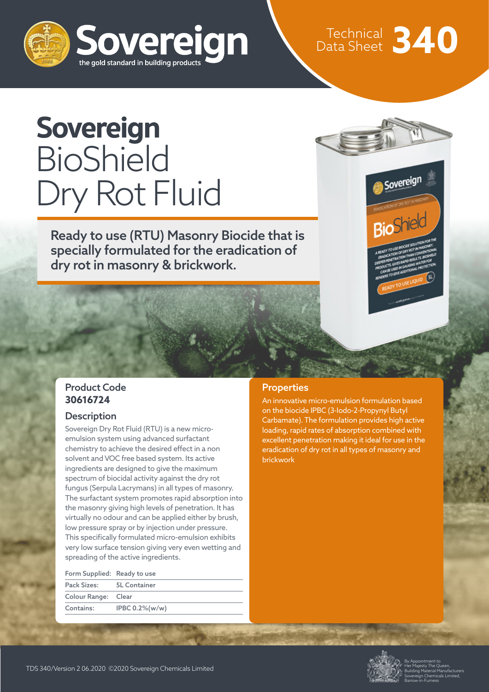

# Technical Data Sheet **340**

## **Sovereign BioShield** Dry Rot Fluid

Ready to use (RTU) Masonry Biocide that is specially formulated for the eradication of dry rot in masonry & brickwork.



#### Product Code **30616724**

#### **Description**

Sovereign Dry Rot Fluid (RTU) is a new microemulsion system using advanced surfactant chemistry to achieve the desired effect in a non solvent and VOC free based system. Its active ingredients are designed to give the maximum spectrum of biocidal activity against the dry rot fungus (Serpula Lacrymans) in all types of masonry. The surfactant system promotes rapid absorption into the masonry giving high levels of penetration. It has virtually no odour and can be applied either by brush, low pressure spray or by injection under pressure. This specifically formulated micro-emulsion exhibits very low surface tension giving very even wetting and spreading of the active ingredients.

| Form Supplied: Ready to use |                    |
|-----------------------------|--------------------|
| Pack Sizes: 5L Container    |                    |
| Colour Range: Clear         |                    |
| Contains:                   | IPBC $0.2\%$ (w/w) |
|                             |                    |

#### **Properties**

An innovative micro-emulsion formulation based on the biocide IPBC (3-Iodo-2-Propynyl Butyl Carbamate). The formulation provides high active loading, rapid rates of absorption combined with excellent penetration making it ideal for use in the eradication of dry rot in all types of masonry and brickwork



By Appointment to Her Majesty The Queen, Building Material Manufacturers Sovereign Chemicals Limited, Barrow-in-Furness